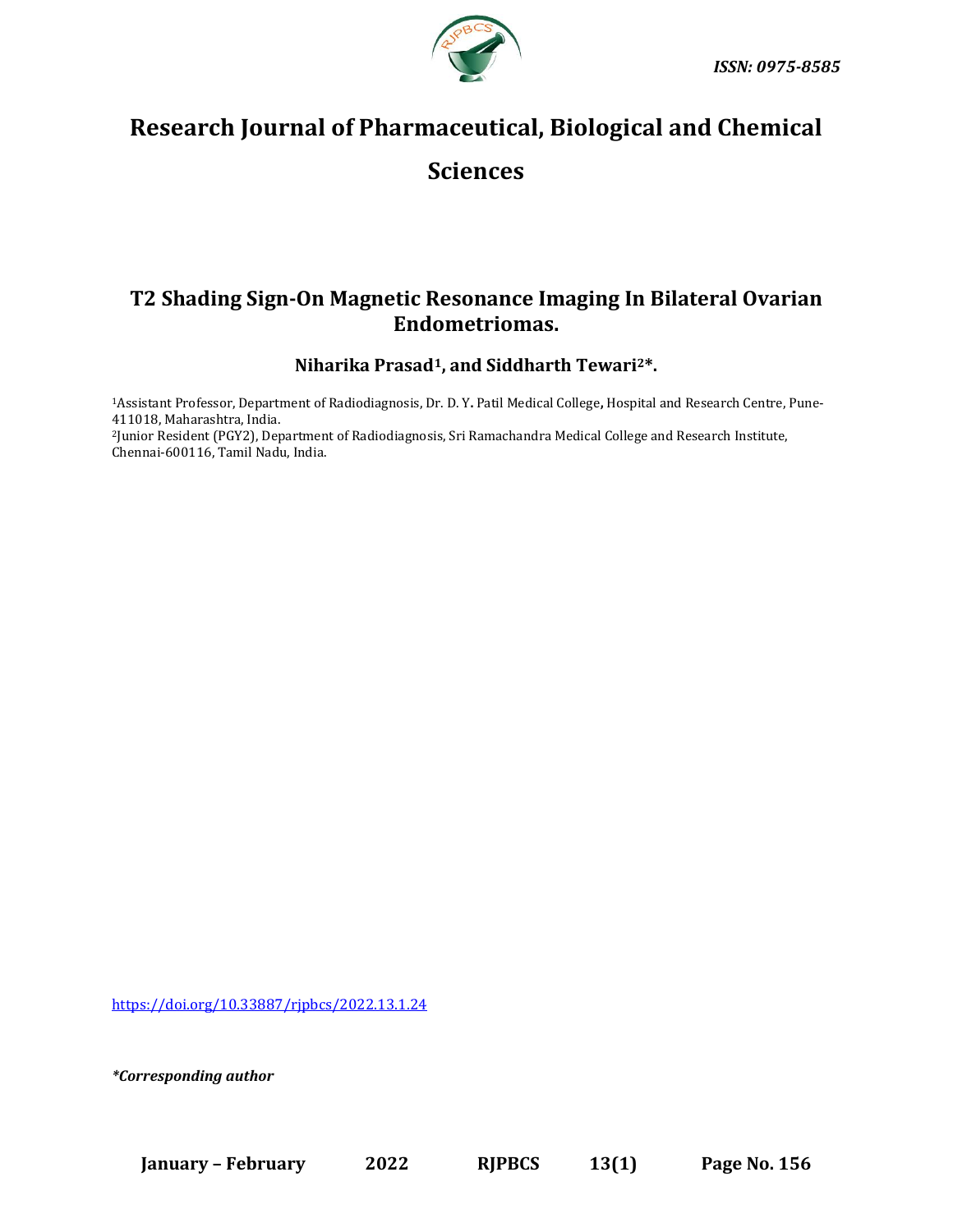

# **Research Journal of Pharmaceutical, Biological and Chemical Sciences**

## **T2 Shading Sign-On Magnetic Resonance Imaging In Bilateral Ovarian Endometriomas.**

**Niharika Prasad1, and Siddharth Tewari2\*.**

<sup>1</sup>Assistant Professor, Department of Radiodiagnosis, Dr. D. Y**.** Patil Medical College**,** Hospital and Research Centre, Pune-411018, Maharashtra, India. <sup>2</sup>Junior Resident (PGY2), Department of Radiodiagnosis, Sri Ramachandra Medical College and Research Institute,

Chennai-600116, Tamil Nadu, India.

[https://doi.org/10.33887/rjpbcs/2022.13.1.24](https://doi.org/10.33887/rjpbcs/2022.13.1.1)

*\*Corresponding author*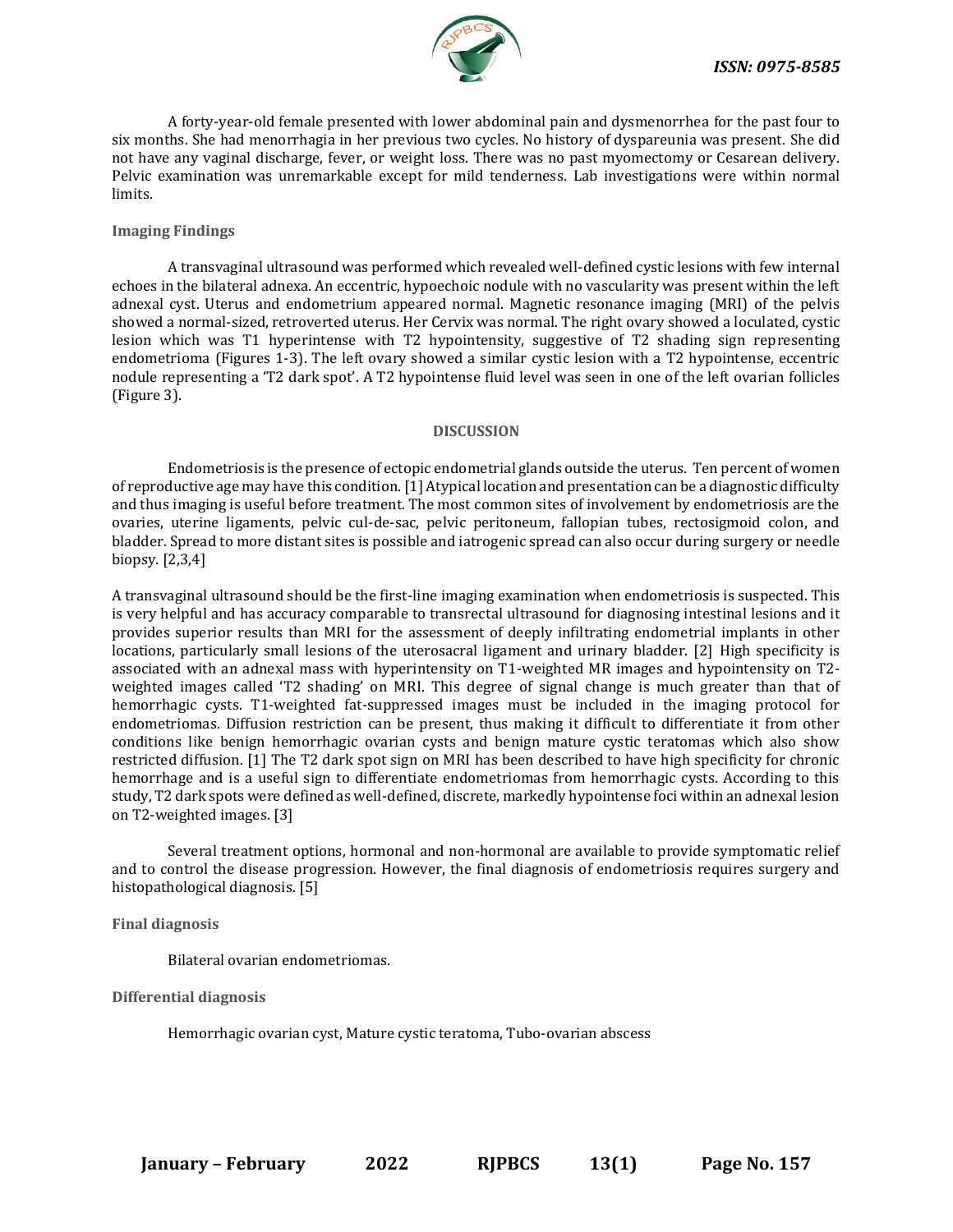

A forty-year-old female presented with lower abdominal pain and dysmenorrhea for the past four to six months. She had menorrhagia in her previous two cycles. No history of dyspareunia was present. She did not have any vaginal discharge, fever, or weight loss. There was no past myomectomy or Cesarean delivery. Pelvic examination was unremarkable except for mild tenderness. Lab investigations were within normal limits.

#### **Imaging Findings**

A transvaginal ultrasound was performed which revealed well-defined cystic lesions with few internal echoes in the bilateral adnexa. An eccentric, hypoechoic nodule with no vascularity was present within the left adnexal cyst. Uterus and endometrium appeared normal. Magnetic resonance imaging (MRI) of the pelvis showed a normal-sized, retroverted uterus. Her Cervix was normal. The right ovary showed a loculated, cystic lesion which was T1 hyperintense with T2 hypointensity, suggestive of T2 shading sign representing endometrioma (Figures 1-3). The left ovary showed a similar cystic lesion with a T2 hypointense, eccentric nodule representing a 'T2 dark spot'. A T2 hypointense fluid level was seen in one of the left ovarian follicles (Figure 3).

#### **DISCUSSION**

Endometriosis is the presence of ectopic endometrial glands outside the uterus. Ten percent of women of reproductive age may have this condition. [1] Atypical location and presentation can be a diagnostic difficulty and thus imaging is useful before treatment. The most common sites of involvement by endometriosis are the ovaries, uterine ligaments, pelvic cul-de-sac, pelvic peritoneum, fallopian tubes, rectosigmoid colon, and bladder. Spread to more distant sites is possible and iatrogenic spread can also occur during surgery or needle biopsy. [2,3,4]

A transvaginal ultrasound should be the first-line imaging examination when endometriosis is suspected. This is very helpful and has accuracy comparable to transrectal ultrasound for diagnosing intestinal lesions and it provides superior results than MRI for the assessment of deeply infiltrating endometrial implants in other locations, particularly small lesions of the uterosacral ligament and urinary bladder. [2] High specificity is associated with an adnexal mass with hyperintensity on T1-weighted MR images and hypointensity on T2 weighted images called 'T2 shading' on MRI. This degree of signal change is much greater than that of hemorrhagic cysts. T1-weighted fat-suppressed images must be included in the imaging protocol for endometriomas. Diffusion restriction can be present, thus making it difficult to differentiate it from other conditions like benign hemorrhagic ovarian cysts and benign mature cystic teratomas which also show restricted diffusion. [1] The T2 dark spot sign on MRI has been described to have high specificity for chronic hemorrhage and is a useful sign to differentiate endometriomas from hemorrhagic cysts. According to this study, T2 dark spots were defined as well-defined, discrete, markedly hypointense foci within an adnexal lesion on T2-weighted images. [3]

Several treatment options, hormonal and non-hormonal are available to provide symptomatic relief and to control the disease progression. However, the final diagnosis of endometriosis requires surgery and histopathological diagnosis. [5]

**Final diagnosis**

Bilateral ovarian endometriomas.

**Differential diagnosis**

Hemorrhagic ovarian cyst, Mature cystic teratoma, Tubo-ovarian abscess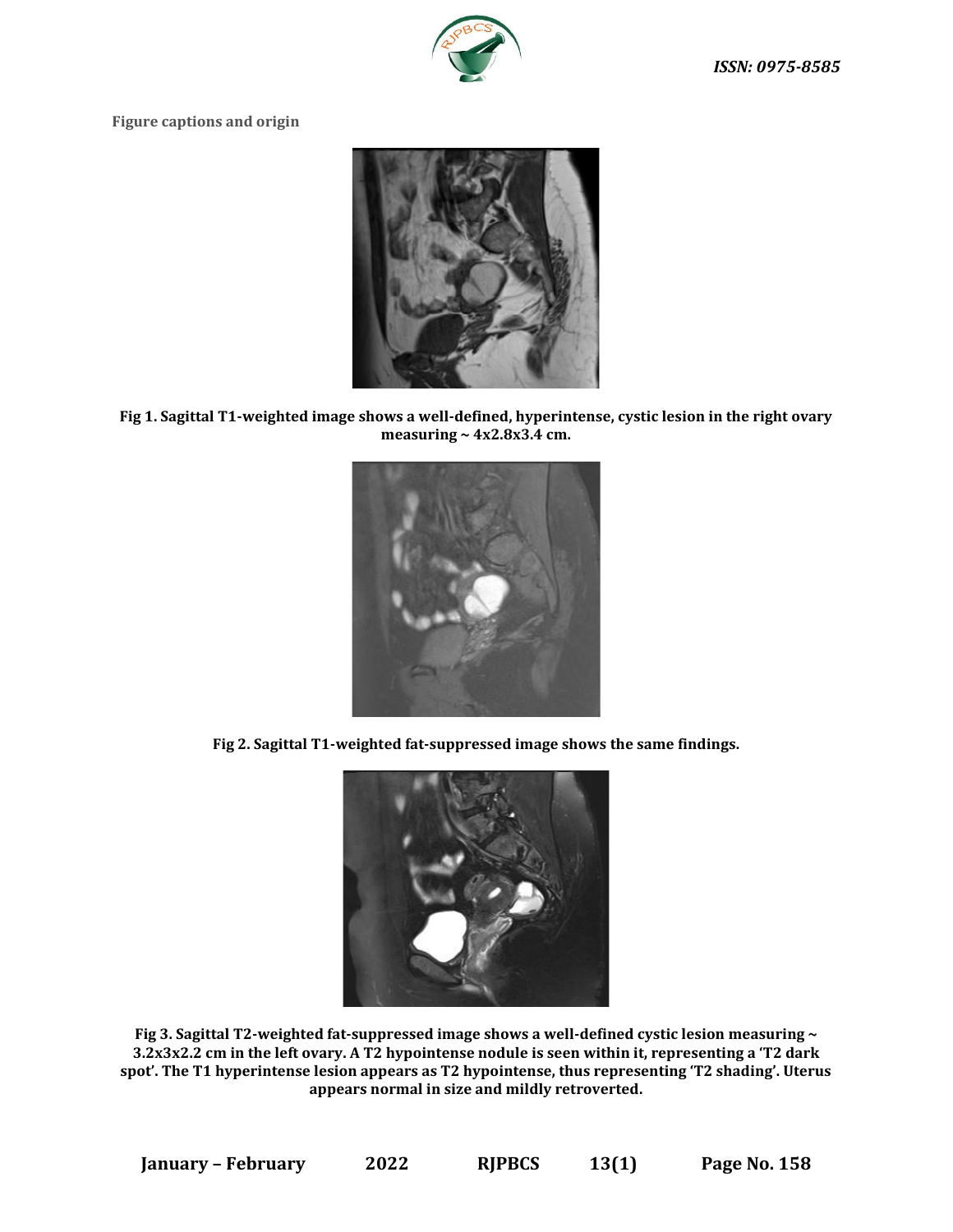

### **Figure captions and origin**



**Fig 1. Sagittal T1-weighted image shows a well-defined, hyperintense, cystic lesion in the right ovary measuring ~ 4x2.8x3.4 cm.**



**Fig 2. Sagittal T1-weighted fat-suppressed image shows the same findings.**



**Fig 3. Sagittal T2-weighted fat-suppressed image shows a well-defined cystic lesion measuring ~ 3.2x3x2.2 cm in the left ovary. A T2 hypointense nodule is seen within it, representing a 'T2 dark spot'. The T1 hyperintense lesion appears as T2 hypointense, thus representing 'T2 shading'. Uterus appears normal in size and mildly retroverted.**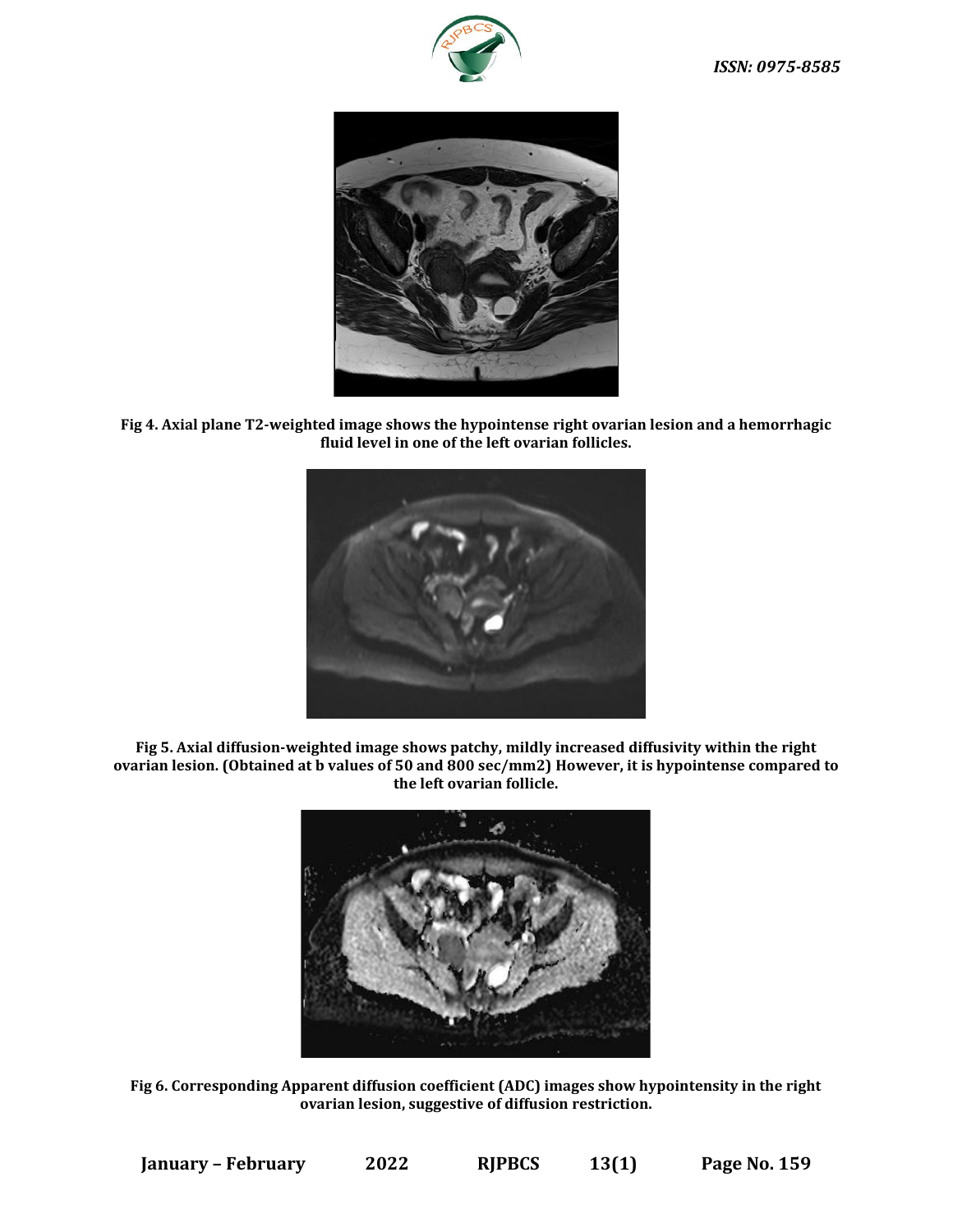



**Fig 4. Axial plane T2-weighted image shows the hypointense right ovarian lesion and a hemorrhagic fluid level in one of the left ovarian follicles.**



**Fig 5. Axial diffusion-weighted image shows patchy, mildly increased diffusivity within the right ovarian lesion. (Obtained at b values of 50 and 800 sec/mm2) However, it is hypointense compared to the left ovarian follicle.**



**Fig 6. Corresponding Apparent diffusion coefficient (ADC) images show hypointensity in the right ovarian lesion, suggestive of diffusion restriction.**